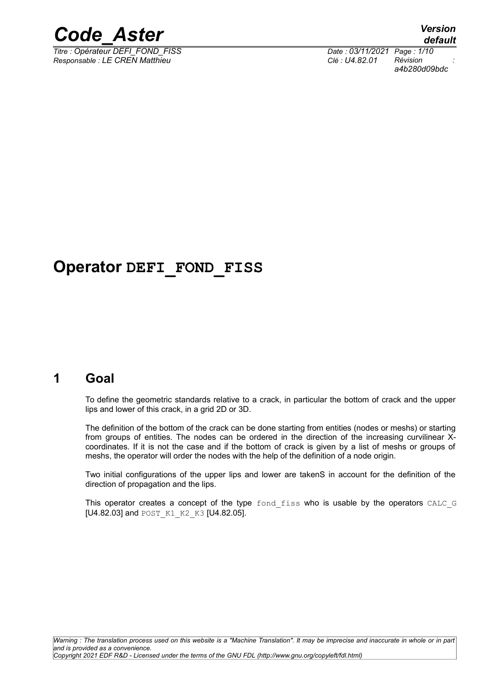

*Titre : Opérateur DEFI\_FOND\_FISS Date : 03/11/2021 Page : 1/10 Responsable : LE CREN Matthieu* 

*a4b280d09bdc*

# **Operator DEFI\_FOND\_FISS**

# **1 Goal**

To define the geometric standards relative to a crack, in particular the bottom of crack and the upper lips and lower of this crack, in a grid 2D or 3D.

The definition of the bottom of the crack can be done starting from entities (nodes or meshs) or starting from groups of entities. The nodes can be ordered in the direction of the increasing curvilinear Xcoordinates. If it is not the case and if the bottom of crack is given by a list of meshs or groups of meshs, the operator will order the nodes with the help of the definition of a node origin.

Two initial configurations of the upper lips and lower are takenS in account for the definition of the direction of propagation and the lips.

This operator creates a concept of the type fond fiss who is usable by the operators CALC G [U4.82.03] and POST\_K1\_K2\_K3 [U4.82.05].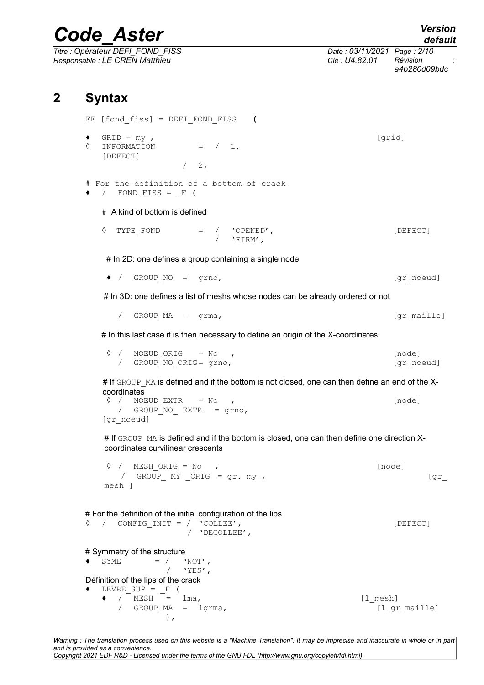*Titre : Opérateur DEFI\_FOND\_FISS Date : 03/11/2021 Page : 2/10 Responsable : LE CREN Matthieu Clé : U4.82.01 Révision : a4b280d09bdc*

# **2 Syntax**

FF [fond\_fiss] = DEFI\_FOND\_FISS **(**  $\begin{array}{ll}\n\bullet & \text{GRID = my },\n\circ & \text{INFORMATION} & = & / 1,\n\end{array}$  $\Diamond$  INFORMATION [DEFECT]  $/2$ , # For the definition of a bottom of crack  $\bullet$  / FOND FISS = F ( # A kind of bottom is defined ◊ TYPE\_FOND = / 'OPENED', [DEFECT]  $/$  'FIRM'. # In 2D: one defines a group containing a single node ◆ / GROUP\_NO = grno, [gr\_noeud] # In 3D: one defines a list of meshs whose nodes can be already ordered or not / GROUP MA = grma,  $[\text{gr maille}]$ # In this last case it is then necessary to define an origin of the X-coordinates  $\Diamond$  / NOEUD ORIG = No , / GROUP\_NO\_ORIG= grno, [gr\_noeud] # If GROUP MA is defined and if the bottom is not closed, one can then define an end of the Xcoordinates  $\Diamond$  / NOEUD EXTR = No , /  $GROUPNO$  EXTR = grno, [gr\_noeud] # If GROUP MA is defined and if the bottom is closed, one can then define one direction Xcoordinates curvilinear crescents  $\Diamond$  / MESH ORIG = No , / GROUP MY ORIG = gr. my ,  $\left[ gr\_gr \right]$ mesh ] # For the definition of the initial configuration of the lips ◊ / CONFIG\_INIT = / 'COLLEE', [DEFECT] .<br>/ 'DECOLLEE', # Symmetry of the structure  $\begin{array}{ccccc} \bullet & \text{SYME} & = & / & \text{'}\text{NOT'}\ \bullet & & & / & \text{'}\text{YES'}\ \end{array},$ / 'YES', Définition of the lips of the crack  $\blacklozenge$  LEVRE\_SUP =  $\lbrack$  F (  $\blacklozenge$  / MESH =  $\text{lma}$ ,  $[1 \text{~mesh}]$ / GROUP MA = lgrma, (1 gr maille)

*Warning : The translation process used on this website is a "Machine Translation". It may be imprecise and inaccurate in whole or in part and is provided as a convenience. Copyright 2021 EDF R&D - Licensed under the terms of the GNU FDL (http://www.gnu.org/copyleft/fdl.html)*

),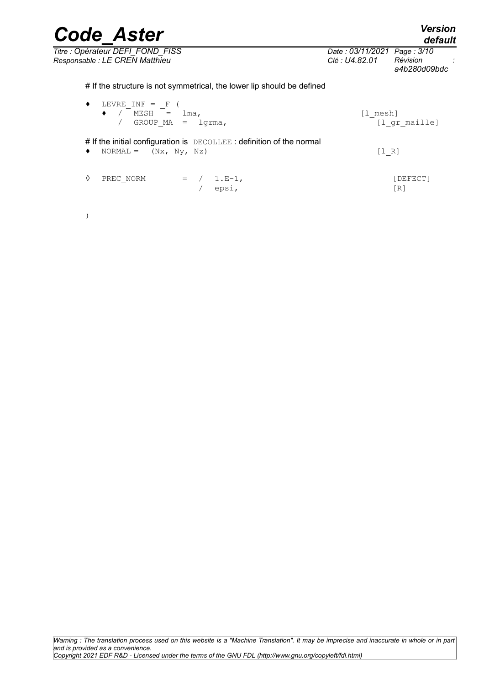| <b>Code Aster</b>                                                                                    |                                               | <b>Version</b><br>default |
|------------------------------------------------------------------------------------------------------|-----------------------------------------------|---------------------------|
| Titre : Opérateur DEFI FOND FISS<br>Responsable : LE CREN Matthieu                                   | Date: 03/11/2021 Page: 3/10<br>Clé : U4.82.01 | Révision<br>a4b280d09bdc  |
| # If the structure is not symmetrical, the lower lip should be defined                               |                                               |                           |
| LEVRE INF = $_F$ (<br>٠<br>$\bullet$ / MESH = $lma$ ,<br>$GROUP MA =$<br>lgrma,                      | [l mesh]<br>[1 gr maille]                     |                           |
| # If the initial configuration is DECOLLEE: definition of the normal<br>$NORMAL = (Nx, Ny, Nz)$<br>٠ | [1 R]                                         |                           |
| ♦<br>PREC NORM<br>$= / 1.E-1,$<br>epsi,                                                              |                                               | [DEFECT]<br>[R]           |

)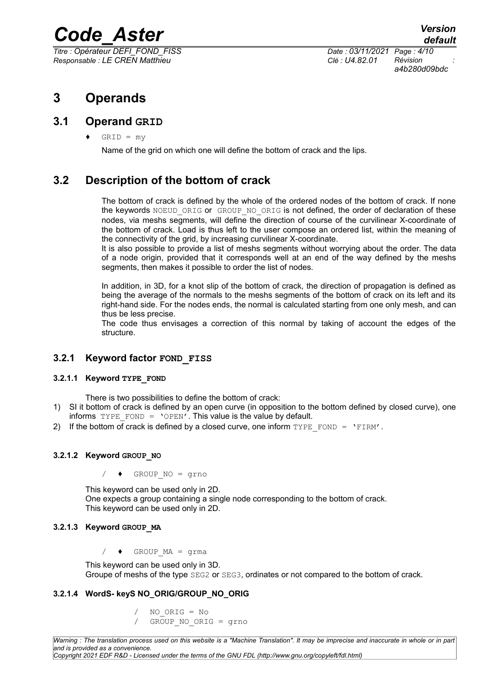*Titre : Opérateur DEFI\_FOND\_FISS Date : 03/11/2021 Page : 4/10 Responsable : LE CREN Matthieu Clé : U4.82.01 Révision :*

*a4b280d09bdc*

# **3 Operands**

### **3.1 Operand GRID**

 $GRID = my$ 

Name of the grid on which one will define the bottom of crack and the lips.

# **3.2 Description of the bottom of crack**

The bottom of crack is defined by the whole of the ordered nodes of the bottom of crack. If none the keywords NOEUD ORIG or GROUP NO ORIG is not defined, the order of declaration of these nodes, via meshs segments, will define the direction of course of the curvilinear X-coordinate of the bottom of crack. Load is thus left to the user compose an ordered list, within the meaning of the connectivity of the grid, by increasing curvilinear X-coordinate.

It is also possible to provide a list of meshs segments without worrying about the order. The data of a node origin, provided that it corresponds well at an end of the way defined by the meshs segments, then makes it possible to order the list of nodes.

In addition, in 3D, for a knot slip of the bottom of crack, the direction of propagation is defined as being the average of the normals to the meshs segments of the bottom of crack on its left and its right-hand side. For the nodes ends, the normal is calculated starting from one only mesh, and can thus be less precise.

The code thus envisages a correction of this normal by taking of account the edges of the structure.

#### **3.2.1 Keyword factor FOND FISS**

#### **3.2.1.1 Keyword TYPE\_FOND**

There is two possibilities to define the bottom of crack:

- 1) SI it bottom of crack is defined by an open curve (in opposition to the bottom defined by closed curve), one informs  $TYPE$  FOND = 'OPEN'. This value is the value by default.
- 2) If the bottom of crack is defined by a closed curve, one inform  $TYPE$  FOND =  $'ETHM'$ .

#### **3.2.1.2 Keyword GROUP\_NO**

/ ♦ GROUP\_NO = grno

This keyword can be used only in 2D. One expects a group containing a single node corresponding to the bottom of crack. This keyword can be used only in 2D.

#### **3.2.1.3 Keyword GROUP\_MA**

 $/ \rightarrow$  GROUP MA = grma

This keyword can be used only in 3D. Groupe of meshs of the type SEG2 or SEG3, ordinates or not compared to the bottom of crack.

#### **3.2.1.4 WordS- keyS NO\_ORIG/GROUP\_NO\_ORIG**

- / NO\_ORIG = No
- / GROUP\_NO\_ORIG = grno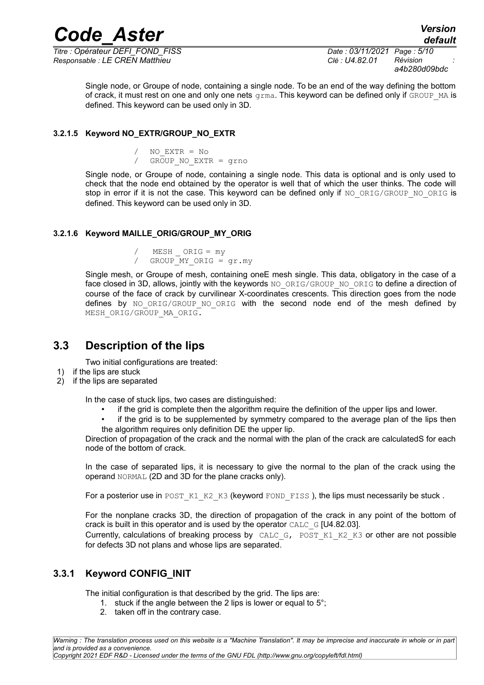*Responsable : LE CREN Matthieu Clé : U4.82.01 Révision :*

*Titre : Opérateur DEFI\_FOND\_FISS Date : 03/11/2021 Page : 5/10 a4b280d09bdc*

*default*

Single node, or Groupe of node, containing a single node. To be an end of the way defining the bottom of crack, it must rest on one and only one nets  $q_{\text{L}}$  and  $q_{\text{L}}$  is keyword can be defined only if  $GROUP$  MA is defined. This keyword can be used only in 3D.

#### **3.2.1.5 Keyword NO\_EXTR/GROUP\_NO\_EXTR**

/ NO\_EXTR = No / GROUP\_NO\_EXTR = grno

Single node, or Groupe of node, containing a single node. This data is optional and is only used to check that the node end obtained by the operator is well that of which the user thinks. The code will stop in error if it is not the case. This keyword can be defined only if NO ORIG/GROUP\_NO\_ORIG is defined. This keyword can be used only in 3D.

#### **3.2.1.6 Keyword MAILLE\_ORIG/GROUP\_MY\_ORIG**

MESH ORIG = my / GROUP MY ORIG = gr.my

Single mesh, or Groupe of mesh, containing oneE mesh single. This data, obligatory in the case of a face closed in 3D, allows, jointly with the keywords NO\_ORIG/GROUP\_NO\_ORIG to define a direction of course of the face of crack by curvilinear X-coordinates crescents. This direction goes from the node defines by NO\_ORIG/GROUP\_NO\_ORIG with the second node end of the mesh defined by MESH\_ORIG/GROUP\_MA\_ORIG.

### **3.3 Description of the lips**

Two initial configurations are treated:

- 1) if the lips are stuck
- 2) if the lips are separated

In the case of stuck lips, two cases are distinguished:

- if the grid is complete then the algorithm require the definition of the upper lips and lower.
- if the grid is to be supplemented by symmetry compared to the average plan of the lips then the algorithm requires only definition DE the upper lip.

Direction of propagation of the crack and the normal with the plan of the crack are calculatedS for each node of the bottom of crack.

In the case of separated lips, it is necessary to give the normal to the plan of the crack using the operand NORMAL (2D and 3D for the plane cracks only).

For a posterior use in POST\_K1\_K2\_K3 (keyword FOND\_FISS), the lips must necessarily be stuck.

For the nonplane cracks 3D, the direction of propagation of the crack in any point of the bottom of crack is built in this operator and is used by the operator  $CALC \text{ G}$  [U4.82.03].

Currently, calculations of breaking process by CALC G, POST K1 K2 K3 or other are not possible for defects 3D not plans and whose lips are separated.

### **3.3.1 Keyword CONFIG\_INIT**

The initial configuration is that described by the grid. The lips are:

- 1. stuck if the angle between the 2 lips is lower or equal to  $5^\circ$ .
- 2. taken off in the contrary case.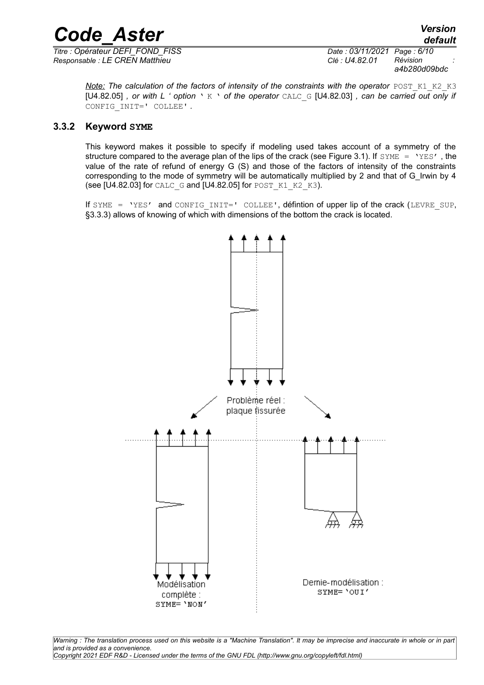*Titre : Opérateur DEFI\_FOND\_FISS Date : 03/11/2021 Page : 6/10 Responsable : LE CREN Matthieu* 

*a4b280d09bdc*

*Note:* The calculation of the factors of intensity of the constraints with the operator POST K1 K2 K3 [U4.82.05] *, or with L ' option* ' K ' *of the operator* CALC\_G [U4.82.03] *, can be carried out only if* CONFIG\_INIT=' COLLEE' *.*

#### **3.3.2 Keyword SYME**

This keyword makes it possible to specify if modeling used takes account of a symmetry of the structure compared to the average plan of the lips of the crack (see Figure 3.1). If  $\text{SWSE} = \text{YES'}$ , the value of the rate of refund of energy G (S) and those of the factors of intensity of the constraints corresponding to the mode of symmetry will be automatically multiplied by 2 and that of G\_Irwin by 4 (see [U4.82.03] for CALC\_G and [U4.82.05] for POST\_K1\_K2\_K3).

If SYME = 'YES' and CONFIG INIT=' COLLEE', défintion of upper lip of the crack (LEVRE SUP, §3.3.3) allows of knowing of which with dimensions of the bottom the crack is located.



*Warning : The translation process used on this website is a "Machine Translation". It may be imprecise and inaccurate in whole or in part and is provided as a convenience. Copyright 2021 EDF R&D - Licensed under the terms of the GNU FDL (http://www.gnu.org/copyleft/fdl.html)*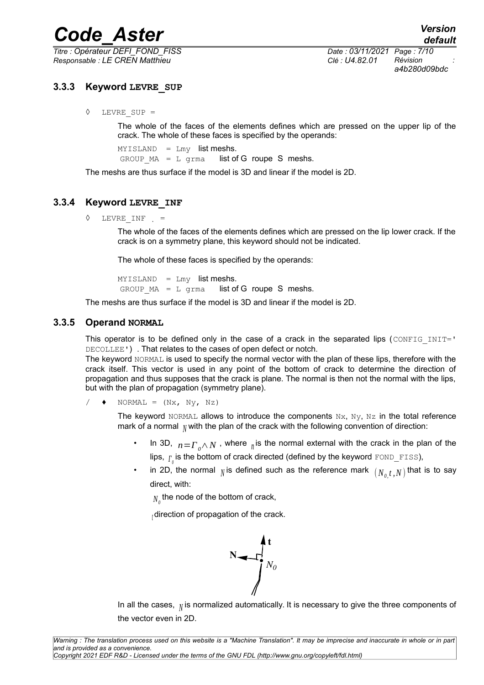*Titre : Opérateur DEFI\_FOND\_FISS Date : 03/11/2021 Page : 7/10 Responsable : LE CREN Matthieu Clé : U4.82.01 Révision :*

*a4b280d09bdc*

#### **3.3.3 Keyword LEVRE\_SUP**

◊ LEVRE\_SUP =

The whole of the faces of the elements defines which are pressed on the upper lip of the crack. The whole of these faces is specified by the operands:

 $MYISLAND = Lmy$  list meshs. GROUP  $MA = L$  grma list of G roupe S meshs.

The meshs are thus surface if the model is 3D and linear if the model is 2D.

#### **3.3.4 Keyword LEVRE\_INF**

 $\Diamond$  LEVRE INF  $=$ 

The whole of the faces of the elements defines which are pressed on the lip lower crack. If the crack is on a symmetry plane, this keyword should not be indicated.

The whole of these faces is specified by the operands:

MYISLAND = Lmy list meshs. GROUP  $MA = L$  grma list of G roupe S meshs.

The meshs are thus surface if the model is 3D and linear if the model is 2D.

#### **3.3.5 Operand NORMAL**

This operator is to be defined only in the case of a crack in the separated lips (CONFIG\_INIT=' DECOLLEE') . That relates to the cases of open defect or notch.

The keyword NORMAL is used to specify the normal vector with the plan of these lips, therefore with the crack itself. This vector is used in any point of the bottom of crack to determine the direction of propagation and thus supposes that the crack is plane. The normal is then not the normal with the lips, but with the plan of propagation (symmetry plane).

 $\blacklozenge$  NORMAL =  $(Nx, Ny, Nz)$ 

The keyword NORMAL allows to introduce the components  $Nx$ ,  $Ny$ ,  $Nz$  in the total reference mark of a normal  $N$  with the plan of the crack with the following convention of direction:

- In 3D, *n*=*Γ0*∧*N* , where *<sup>n</sup>* is the normal external with the crack in the plan of the lips,  $_{\Gamma_{\scriptscriptstyle{0}}}$ is the bottom of crack directed (defined by the keyword  $_{\texttt{FOND\_FISS}}$ ),
- in 2D, the normal  $_N$  is defined such as the reference mark  $(N_{0,t},N)$  that is to say direct, with:

 $\overline{N}_0$  the node of the bottom of crack,

*<sup>t</sup>* direction of propagation of the crack.



In all the cases, *<sup>N</sup>* is normalized automatically. It is necessary to give the three components of the vector even in 2D.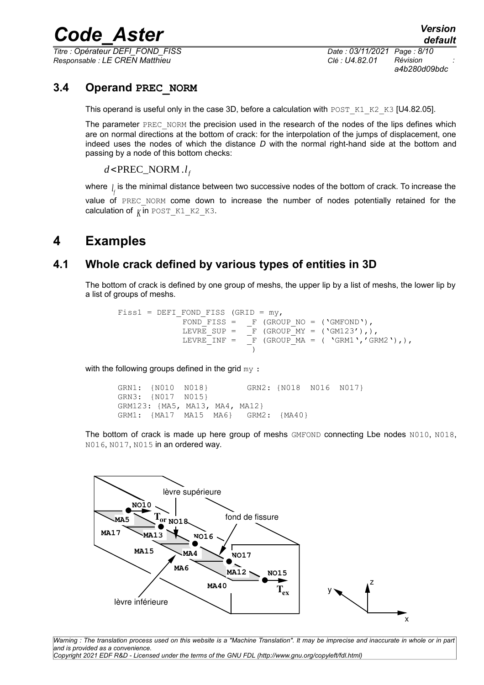*Titre : Opérateur DEFI\_FOND\_FISS Date : 03/11/2021 Page : 8/10 Responsable : LE CREN Matthieu Clé : U4.82.01 Révision :*

*a4b280d09bdc*

### **3.4 Operand PREC\_NORM**

This operand is useful only in the case 3D, before a calculation with POST  $K1_K2_K3$  [U4.82.05].

The parameter PREC\_NORM the precision used in the research of the nodes of the lips defines which are on normal directions at the bottom of crack: for the interpolation of the jumps of displacement, one indeed uses the nodes of which the distance *D* with the normal right-hand side at the bottom and passing by a node of this bottom checks:

*d*<PREC\_NORM .*l f*

where *<sup>l</sup> f* is the minimal distance between two successive nodes of the bottom of crack. To increase the value of PREC NORM come down to increase the number of nodes potentially retained for the calculation of  $_K$  in POST  $K1$  K2 K3.

# **4 Examples**

## **4.1 Whole crack defined by various types of entities in 3D**

The bottom of crack is defined by one group of meshs, the upper lip by a list of meshs, the lower lip by a list of groups of meshs.

```
Fiss1 = DEFI_FOND_FISS (GRID = my,
                FOND FISS = _F (GROUP_NO = ('GMFOND'),
                LEVRE_SUP = _F (GROUP_MY = ('GM123'),),<br>LEVRE INF = _F (GROUP MA = ('GRM1','GF
                                 F (GROUP MA = ( 'GRM1','GRM2'),),
                                   )
```
with the following groups defined in the grid my:

GRN1: {N010 N018} GRN2: {N018 N016 N017} GRN3: {N017 N015} GRM123: {MA5, MA13, MA4, MA12} GRM1: {MA17 MA15 MA6} GRM2: {MA40}

The bottom of crack is made up here group of meshs GMFOND connecting Lbe nodes N010, N018, N016, N017, N015 in an ordered way.



*Warning : The translation process used on this website is a "Machine Translation". It may be imprecise and inaccurate in whole or in part and is provided as a convenience. Copyright 2021 EDF R&D - Licensed under the terms of the GNU FDL (http://www.gnu.org/copyleft/fdl.html)*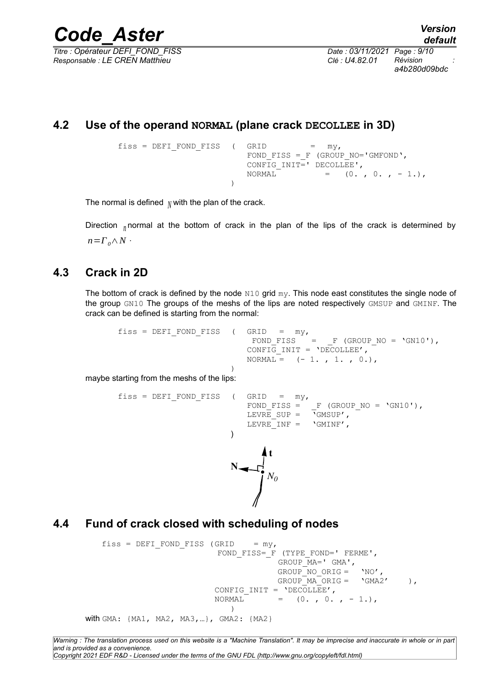*Titre : Opérateur DEFI\_FOND\_FISS Date : 03/11/2021 Page : 9/10 Responsable : LE CREN Matthieu Clé : U4.82.01 Révision :*

*a4b280d09bdc*

# **4.2 Use of the operand NORMAL (plane crack DECOLLEE in 3D)**

```
fiss = DEFI_FOND_FISS ( GRID = my,
                      FOND FISS = F (GROUP NO='GMFOND',
                      CONFIG INIT=' DECOLLEE',
                      NORMAL = (0, 0, 0, -1)\lambda
```
The normal is defined  $_N$  with the plan of the crack.

Direction *<sup>n</sup>* normal at the bottom of crack in the plan of the lips of the crack is determined by  $n = \Gamma$ <sup>*0*</sup>  $\wedge$  *N*  $\cdot$ 

### **4.3 Crack in 2D**

The bottom of crack is defined by the node  $N10$  grid  $my$ . This node east constitutes the single node of the group GN10 The groups of the meshs of the lips are noted respectively GMSUP and GMINF. The crack can be defined is starting from the normal:

```
fiss = DEFI_FOND_FISS ( GRID = my,
                          FOND FISS = F (GROUP NO = 'GN10'),
                          CONFIG INIT = \overline{C}OECOLLEE',
                          NORMAL = (-1. , 1. , 0.))
```
maybe starting from the meshs of the lips:

```
fiss = DEFI_FOND_FISS ( GRID = my,<br>FOND FISS =
                                                                    F (GROUP NO = 'GN10'),
                                             LEVRE \text{SUP} = \begin{bmatrix} -1 & \text{C} \\ -1 & \text{C} \end{bmatrix},
                                             LEVRE INF = \sqrt{G}MINE',
                                       )
                                        N
                                                     t
                                                    N0
```
### **4.4 Fund of crack closed with scheduling of nodes**

```
fiss = DEFI FOND_FISS (GRID = my,
                          FOND FISS= F (TYPE FOND=' FERME',
                                       GROUP MA=' GMA',
                                       GROUP NO ORIG = 'NO',
                                      GROUP MA ORIG = \text{'GMA2'} ),
                          CONFIG INIT = 'DECOLLEE',
                          NORMAL = (0. , 0. , -1.),)
with GMA: {MA1, MA2, MA3,…}, GMA2: {MA2}
```